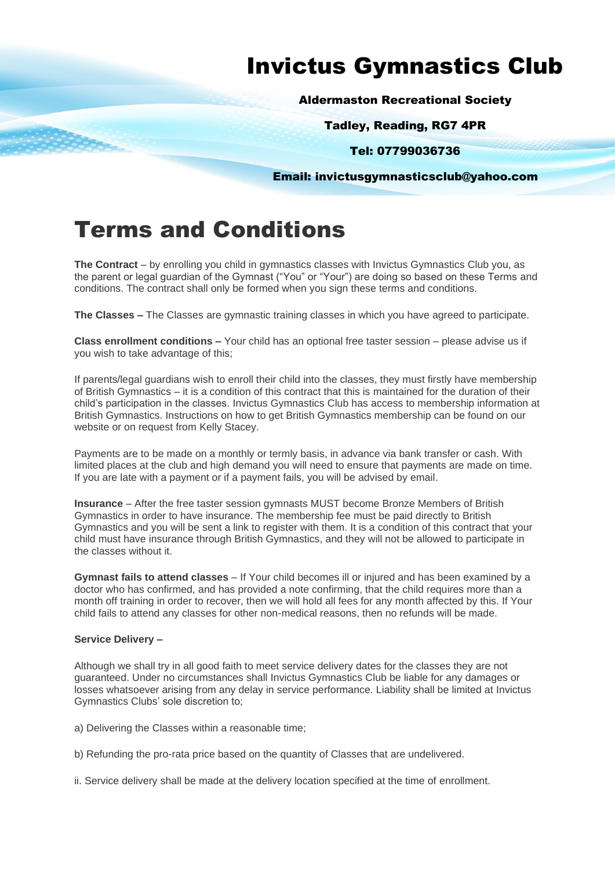# Invictus Gymnastics Club

Aldermaston Recreational Society

Tadley, Reading, RG7 4PR

Tel: 07799036736

Email: invictusgymnasticsclub@yahoo.com

# Terms and Conditions

**The Contract** – by enrolling you child in gymnastics classes with Invictus Gymnastics Club you, as the parent or legal guardian of the Gymnast ("You" or "Your") are doing so based on these Terms and conditions. The contract shall only be formed when you sign these terms and conditions.

**The Classes –** The Classes are gymnastic training classes in which you have agreed to participate.

**Class enrollment conditions –** Your child has an optional free taster session – please advise us if you wish to take advantage of this;

If parents/legal guardians wish to enroll their child into the classes, they must firstly have membership of British Gymnastics – it is a condition of this contract that this is maintained for the duration of their child's participation in the classes. Invictus Gymnastics Club has access to membership information at British Gymnastics. Instructions on how to get British Gymnastics membership can be found on our website or on request from Kelly Stacey.

Payments are to be made on a monthly or termly basis, in advance via bank transfer or cash. With limited places at the club and high demand you will need to ensure that payments are made on time. If you are late with a payment or if a payment fails, you will be advised by email.

**Insurance** – After the free taster session gymnasts MUST become Bronze Members of British Gymnastics in order to have insurance. The membership fee must be paid directly to British Gymnastics and you will be sent a link to register with them. It is a condition of this contract that your child must have insurance through British Gymnastics, and they will not be allowed to participate in the classes without it.

**Gymnast fails to attend classes** – If Your child becomes ill or injured and has been examined by a doctor who has confirmed, and has provided a note confirming, that the child requires more than a month off training in order to recover, then we will hold all fees for any month affected by this. If Your child fails to attend any classes for other non-medical reasons, then no refunds will be made.

# **Service Delivery –**

Although we shall try in all good faith to meet service delivery dates for the classes they are not guaranteed. Under no circumstances shall Invictus Gymnastics Club be liable for any damages or losses whatsoever arising from any delay in service performance. Liability shall be limited at Invictus Gymnastics Clubs' sole discretion to;

a) Delivering the Classes within a reasonable time;

- b) Refunding the pro-rata price based on the quantity of Classes that are undelivered.
- ii. Service delivery shall be made at the delivery location specified at the time of enrollment.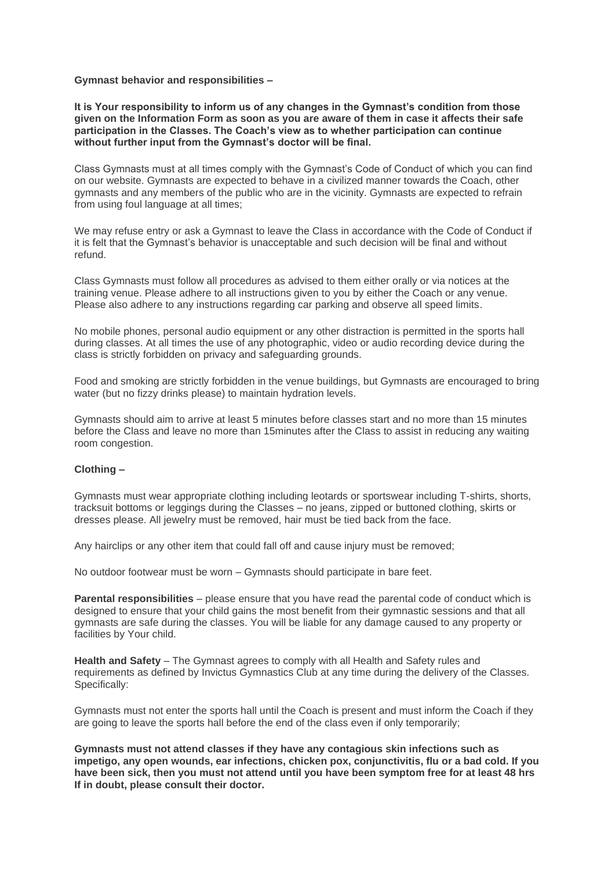#### **Gymnast behavior and responsibilities –**

**It is Your responsibility to inform us of any changes in the Gymnast's condition from those given on the Information Form as soon as you are aware of them in case it affects their safe participation in the Classes. The Coach's view as to whether participation can continue without further input from the Gymnast's doctor will be final.** 

Class Gymnasts must at all times comply with the Gymnast's Code of Conduct of which you can find on our website. Gymnasts are expected to behave in a civilized manner towards the Coach, other gymnasts and any members of the public who are in the vicinity. Gymnasts are expected to refrain from using foul language at all times;

We may refuse entry or ask a Gymnast to leave the Class in accordance with the Code of Conduct if it is felt that the Gymnast's behavior is unacceptable and such decision will be final and without refund.

Class Gymnasts must follow all procedures as advised to them either orally or via notices at the training venue. Please adhere to all instructions given to you by either the Coach or any venue. Please also adhere to any instructions regarding car parking and observe all speed limits.

No mobile phones, personal audio equipment or any other distraction is permitted in the sports hall during classes. At all times the use of any photographic, video or audio recording device during the class is strictly forbidden on privacy and safeguarding grounds.

Food and smoking are strictly forbidden in the venue buildings, but Gymnasts are encouraged to bring water (but no fizzy drinks please) to maintain hydration levels.

Gymnasts should aim to arrive at least 5 minutes before classes start and no more than 15 minutes before the Class and leave no more than 15minutes after the Class to assist in reducing any waiting room congestion.

### **Clothing –**

Gymnasts must wear appropriate clothing including leotards or sportswear including T-shirts, shorts, tracksuit bottoms or leggings during the Classes – no jeans, zipped or buttoned clothing, skirts or dresses please. All jewelry must be removed, hair must be tied back from the face.

Any hairclips or any other item that could fall off and cause injury must be removed;

No outdoor footwear must be worn – Gymnasts should participate in bare feet.

**Parental responsibilities** – please ensure that you have read the parental code of conduct which is designed to ensure that your child gains the most benefit from their gymnastic sessions and that all gymnasts are safe during the classes. You will be liable for any damage caused to any property or facilities by Your child.

**Health and Safety** – The Gymnast agrees to comply with all Health and Safety rules and requirements as defined by Invictus Gymnastics Club at any time during the delivery of the Classes. Specifically:

Gymnasts must not enter the sports hall until the Coach is present and must inform the Coach if they are going to leave the sports hall before the end of the class even if only temporarily;

**Gymnasts must not attend classes if they have any contagious skin infections such as impetigo, any open wounds, ear infections, chicken pox, conjunctivitis, flu or a bad cold. If you have been sick, then you must not attend until you have been symptom free for at least 48 hrs If in doubt, please consult their doctor.**